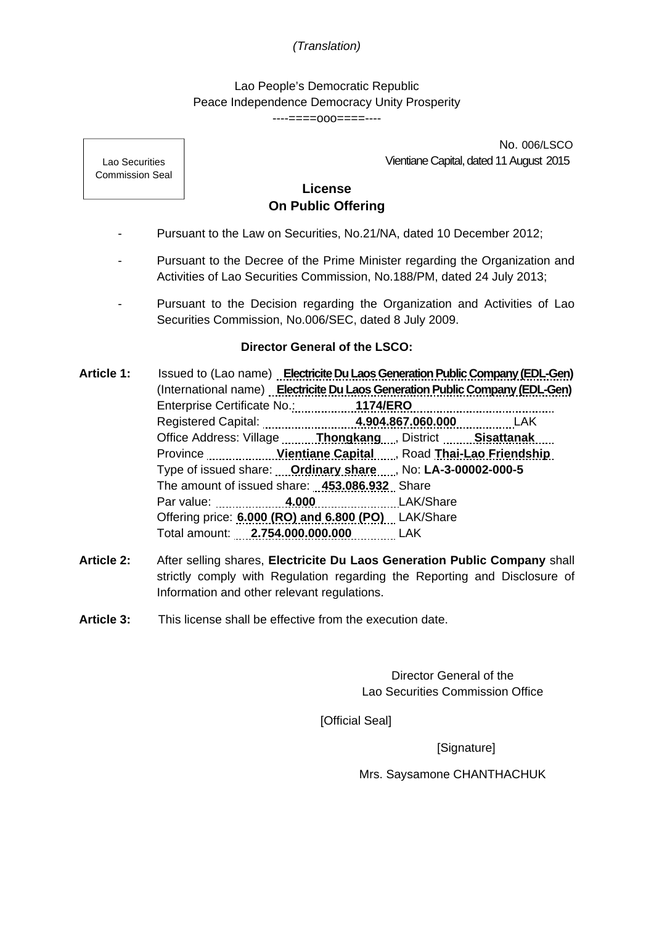## *(Translation)*

Lao People's Democratic Republic Peace Independence Democracy Unity Prosperity ----====ooo====----

> No. 006/LSCO Vientiane Capital, dated 11 August 2015

**License On Public Offering** 

- Pursuant to the Law on Securities, No.21/NA, dated 10 December 2012;
- Pursuant to the Decree of the Prime Minister regarding the Organization and Activities of Lao Securities Commission, No.188/PM, dated 24 July 2013;
- Pursuant to the Decision regarding the Organization and Activities of Lao Securities Commission, No.006/SEC, dated 8 July 2009.

## **Director General of the LSCO:**

- **Article 1:** Issued to (Lao name) **Electricite Du Laos Generation Public Company (EDL-Gen)** (International name) **Electricite Du Laos Generation Public Company (EDL-Gen)** Enterprise Certificate No.: **1174/ERO**  Registered Capital: **4.904.867.060.000** LAK **Office Address: Village <b>Thongkang** , District **Constitutional Sisattanak** , District **Constitution** Province **Manual Accords** Vientiane Capital Manual Road Thai-Lao Friendship Type of issued share: **Ordinary share** , No: **LA-3-00002-000-5** The amount of issued share: **453.086.932** Share Par value: **4.000** LAK/Share Offering price: **6.000 (RO) and 6.800 (PO)** LAK/Share Total amount: **2.754.000.000.000** LAK
- **Article 2:** After selling shares, **Electricite Du Laos Generation Public Company** shall strictly comply with Regulation regarding the Reporting and Disclosure of Information and other relevant regulations.
- **Article 3:** This license shall be effective from the execution date.

Director General of the Lao Securities Commission Office

[Official Seal]

[Signature]

Mrs. Saysamone CHANTHACHUK

Lao Securities Commission Seal